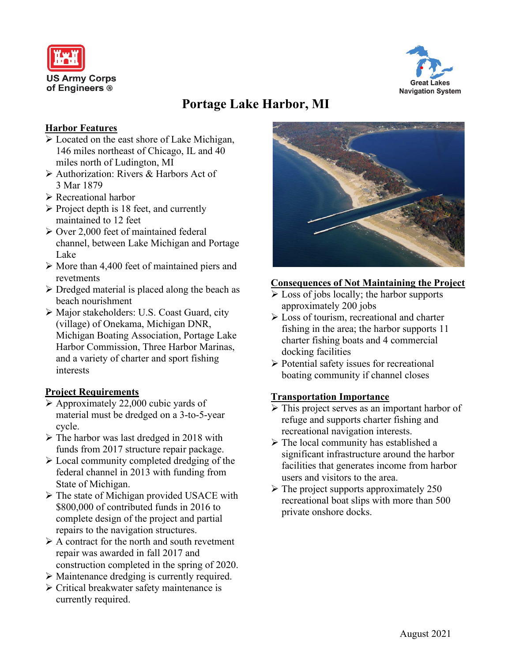



# **Portage Lake Harbor, MI**

### **Harbor Features**

- Located on the east shore of Lake Michigan, 146 miles northeast of Chicago, IL and 40 miles north of Ludington, MI
- Authorization: Rivers & Harbors Act of 3 Mar 1879
- Recreational harbor
- $\triangleright$  Project depth is 18 feet, and currently maintained to 12 feet
- $\geq$  Over 2,000 feet of maintained federal channel, between Lake Michigan and Portage Lake
- $\triangleright$  More than 4,400 feet of maintained piers and revetments
- $\triangleright$  Dredged material is placed along the beach as beach nourishment
- Major stakeholders: U.S. Coast Guard, city (village) of Onekama, Michigan DNR, Michigan Boating Association, Portage Lake Harbor Commission, Three Harbor Marinas, and a variety of charter and sport fishing interests

## **Project Requirements**

- $\triangleright$  Approximately 22,000 cubic yards of material must be dredged on a 3-to-5-year cycle.
- $\triangleright$  The harbor was last dredged in 2018 with funds from 2017 structure repair package.
- $\triangleright$  Local community completed dredging of the federal channel in 2013 with funding from State of Michigan.
- $\triangleright$  The state of Michigan provided USACE with \$800,000 of contributed funds in 2016 to complete design of the project and partial repairs to the navigation structures.
- $\triangleright$  A contract for the north and south revetment repair was awarded in fall 2017 and construction completed in the spring of 2020.
- Maintenance dredging is currently required.
- $\triangleright$  Critical breakwater safety maintenance is currently required.



### **Consequences of Not Maintaining the Project**

- $\triangleright$  Loss of jobs locally; the harbor supports approximately 200 jobs
- $\triangleright$  Loss of tourism, recreational and charter fishing in the area; the harbor supports 11 charter fishing boats and 4 commercial docking facilities
- $\triangleright$  Potential safety issues for recreational boating community if channel closes

## **Transportation Importance**

- $\triangleright$  This project serves as an important harbor of refuge and supports charter fishing and recreational navigation interests.
- $\triangleright$  The local community has established a significant infrastructure around the harbor facilities that generates income from harbor users and visitors to the area.
- $\triangleright$  The project supports approximately 250 recreational boat slips with more than 500 private onshore docks.